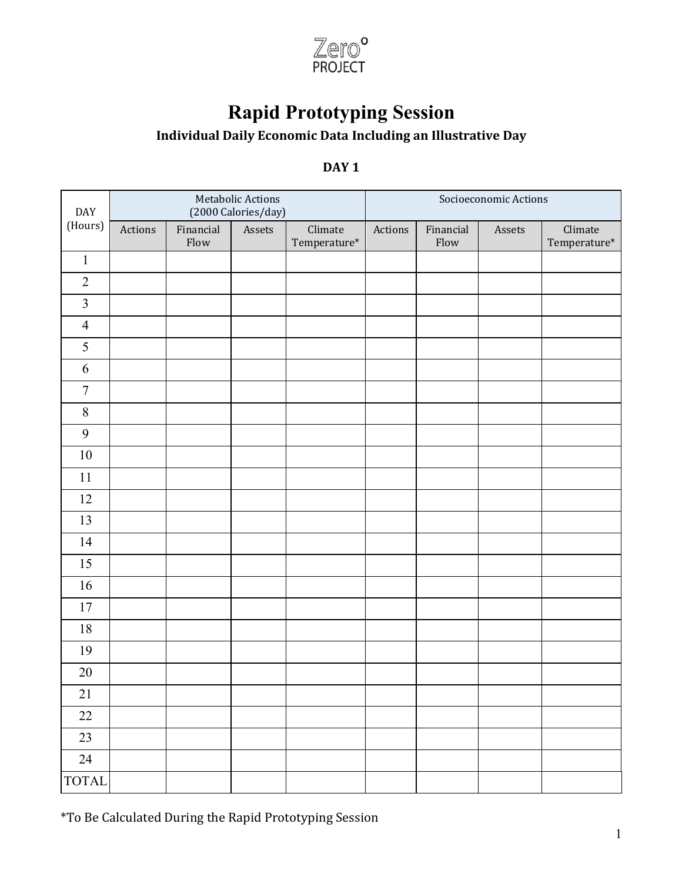

## **Rapid Prototyping Session**

## **Individual Daily Economic Data Including an Illustrative Day**

## **DAY** 1

| DAY              |         |                   | Metabolic Actions<br>(2000 Calories/day) |                                   | Socioeconomic Actions |                   |        |                                   |  |
|------------------|---------|-------------------|------------------------------------------|-----------------------------------|-----------------------|-------------------|--------|-----------------------------------|--|
| (Hours)          | Actions | Financial<br>Flow | Assets                                   | Climate<br>$\mbox{Temperature}^*$ | Actions               | Financial<br>Flow | Assets | Climate<br>$\mbox{Temperature}^*$ |  |
| $\,1$            |         |                   |                                          |                                   |                       |                   |        |                                   |  |
| $\sqrt{2}$       |         |                   |                                          |                                   |                       |                   |        |                                   |  |
| $\mathfrak{Z}$   |         |                   |                                          |                                   |                       |                   |        |                                   |  |
| $\overline{4}$   |         |                   |                                          |                                   |                       |                   |        |                                   |  |
| 5                |         |                   |                                          |                                   |                       |                   |        |                                   |  |
| $\sqrt{6}$       |         |                   |                                          |                                   |                       |                   |        |                                   |  |
| $\boldsymbol{7}$ |         |                   |                                          |                                   |                       |                   |        |                                   |  |
| $8\,$            |         |                   |                                          |                                   |                       |                   |        |                                   |  |
| $\boldsymbol{9}$ |         |                   |                                          |                                   |                       |                   |        |                                   |  |
| $10\,$           |         |                   |                                          |                                   |                       |                   |        |                                   |  |
| 11               |         |                   |                                          |                                   |                       |                   |        |                                   |  |
| 12               |         |                   |                                          |                                   |                       |                   |        |                                   |  |
| 13               |         |                   |                                          |                                   |                       |                   |        |                                   |  |
| 14               |         |                   |                                          |                                   |                       |                   |        |                                   |  |
| 15               |         |                   |                                          |                                   |                       |                   |        |                                   |  |
| 16               |         |                   |                                          |                                   |                       |                   |        |                                   |  |
| $17\,$           |         |                   |                                          |                                   |                       |                   |        |                                   |  |
| $18\,$           |         |                   |                                          |                                   |                       |                   |        |                                   |  |
| 19               |         |                   |                                          |                                   |                       |                   |        |                                   |  |
| 20               |         |                   |                                          |                                   |                       |                   |        |                                   |  |
| 21               |         |                   |                                          |                                   |                       |                   |        |                                   |  |
| $22\,$           |         |                   |                                          |                                   |                       |                   |        |                                   |  |
| 23               |         |                   |                                          |                                   |                       |                   |        |                                   |  |
| 24               |         |                   |                                          |                                   |                       |                   |        |                                   |  |
| <b>TOTAL</b>     |         |                   |                                          |                                   |                       |                   |        |                                   |  |

\*To Be Calculated During the Rapid Prototyping Session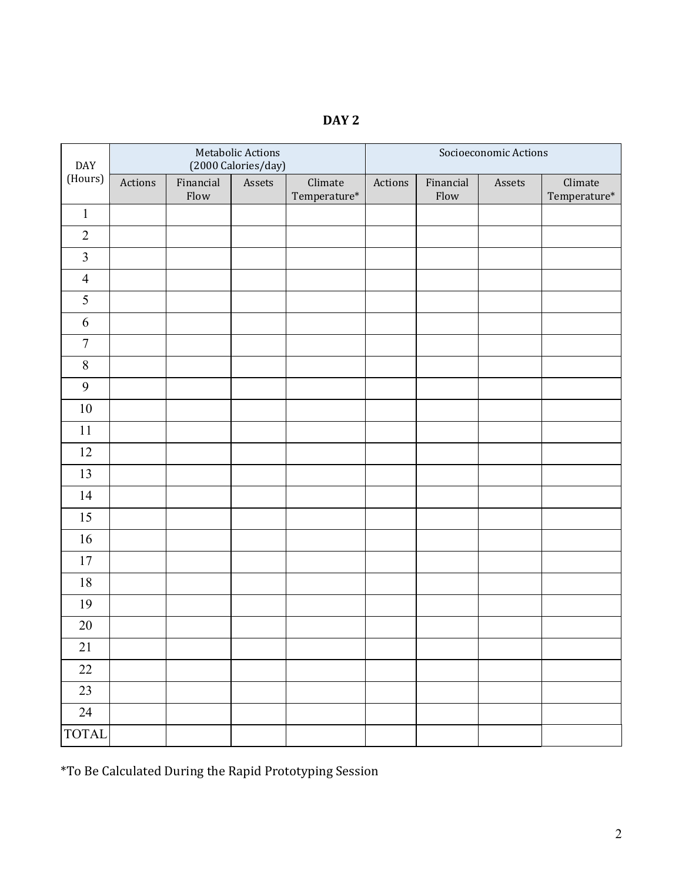| I |  |
|---|--|
|---|--|

| DAY              |         |                   | Metabolic Actions<br>(2000 Calories/day) |                                   | Socioeconomic Actions |                   |        |                         |  |
|------------------|---------|-------------------|------------------------------------------|-----------------------------------|-----------------------|-------------------|--------|-------------------------|--|
| (Hours)          | Actions | Financial<br>Flow | Assets                                   | Climate<br>$\mbox{Temperature}^*$ | Actions               | Financial<br>Flow | Assets | Climate<br>Temperature* |  |
| $\mathbf{1}$     |         |                   |                                          |                                   |                       |                   |        |                         |  |
| $\overline{2}$   |         |                   |                                          |                                   |                       |                   |        |                         |  |
| $\mathfrak{Z}$   |         |                   |                                          |                                   |                       |                   |        |                         |  |
| $\overline{4}$   |         |                   |                                          |                                   |                       |                   |        |                         |  |
| 5                |         |                   |                                          |                                   |                       |                   |        |                         |  |
| 6                |         |                   |                                          |                                   |                       |                   |        |                         |  |
| $\boldsymbol{7}$ |         |                   |                                          |                                   |                       |                   |        |                         |  |
| $\,8\,$          |         |                   |                                          |                                   |                       |                   |        |                         |  |
| 9                |         |                   |                                          |                                   |                       |                   |        |                         |  |
| $10\,$           |         |                   |                                          |                                   |                       |                   |        |                         |  |
| 11               |         |                   |                                          |                                   |                       |                   |        |                         |  |
| $12\,$           |         |                   |                                          |                                   |                       |                   |        |                         |  |
| 13               |         |                   |                                          |                                   |                       |                   |        |                         |  |
| 14               |         |                   |                                          |                                   |                       |                   |        |                         |  |
| 15               |         |                   |                                          |                                   |                       |                   |        |                         |  |
| 16               |         |                   |                                          |                                   |                       |                   |        |                         |  |
| 17               |         |                   |                                          |                                   |                       |                   |        |                         |  |
| $18\,$           |         |                   |                                          |                                   |                       |                   |        |                         |  |
| 19               |         |                   |                                          |                                   |                       |                   |        |                         |  |
| $20\,$           |         |                   |                                          |                                   |                       |                   |        |                         |  |
| 21               |         |                   |                                          |                                   |                       |                   |        |                         |  |
| $22\,$           |         |                   |                                          |                                   |                       |                   |        |                         |  |
| 23               |         |                   |                                          |                                   |                       |                   |        |                         |  |
| 24               |         |                   |                                          |                                   |                       |                   |        |                         |  |
| <b>TOTAL</b>     |         |                   |                                          |                                   |                       |                   |        |                         |  |

\*To Be Calculated During the Rapid Prototyping Session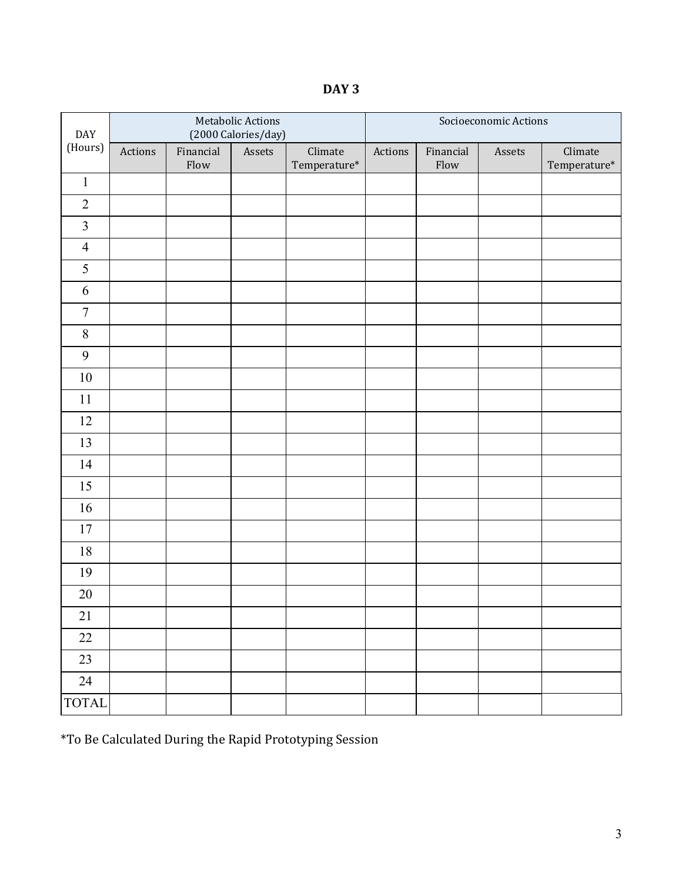**DAY 3**

| DAY<br>(Hours)   |         |                   | Metabolic Actions<br>(2000 Calories/day) |                                   | Socioeconomic Actions |                   |        |                                   |  |
|------------------|---------|-------------------|------------------------------------------|-----------------------------------|-----------------------|-------------------|--------|-----------------------------------|--|
|                  | Actions | Financial<br>Flow | Assets                                   | Climate<br>$\mbox{Temperature}^*$ | Actions               | Financial<br>Flow | Assets | Climate<br>$\mbox{Temperature}^*$ |  |
| $\,1$            |         |                   |                                          |                                   |                       |                   |        |                                   |  |
| $\overline{2}$   |         |                   |                                          |                                   |                       |                   |        |                                   |  |
| $\mathfrak{Z}$   |         |                   |                                          |                                   |                       |                   |        |                                   |  |
| $\overline{4}$   |         |                   |                                          |                                   |                       |                   |        |                                   |  |
| 5                |         |                   |                                          |                                   |                       |                   |        |                                   |  |
| 6                |         |                   |                                          |                                   |                       |                   |        |                                   |  |
| $\boldsymbol{7}$ |         |                   |                                          |                                   |                       |                   |        |                                   |  |
| $\,8\,$          |         |                   |                                          |                                   |                       |                   |        |                                   |  |
| 9                |         |                   |                                          |                                   |                       |                   |        |                                   |  |
| $10\,$           |         |                   |                                          |                                   |                       |                   |        |                                   |  |
| 11               |         |                   |                                          |                                   |                       |                   |        |                                   |  |
| $12\,$           |         |                   |                                          |                                   |                       |                   |        |                                   |  |
| 13               |         |                   |                                          |                                   |                       |                   |        |                                   |  |
| 14               |         |                   |                                          |                                   |                       |                   |        |                                   |  |
| 15               |         |                   |                                          |                                   |                       |                   |        |                                   |  |
| $16\,$           |         |                   |                                          |                                   |                       |                   |        |                                   |  |
| 17               |         |                   |                                          |                                   |                       |                   |        |                                   |  |
| $18\,$           |         |                   |                                          |                                   |                       |                   |        |                                   |  |
| 19               |         |                   |                                          |                                   |                       |                   |        |                                   |  |
| $20\,$           |         |                   |                                          |                                   |                       |                   |        |                                   |  |
| 21               |         |                   |                                          |                                   |                       |                   |        |                                   |  |
| $22\,$           |         |                   |                                          |                                   |                       |                   |        |                                   |  |
| 23               |         |                   |                                          |                                   |                       |                   |        |                                   |  |
| 24               |         |                   |                                          |                                   |                       |                   |        |                                   |  |
| <b>TOTAL</b>     |         |                   |                                          |                                   |                       |                   |        |                                   |  |

\*To Be Calculated During the Rapid Prototyping Session